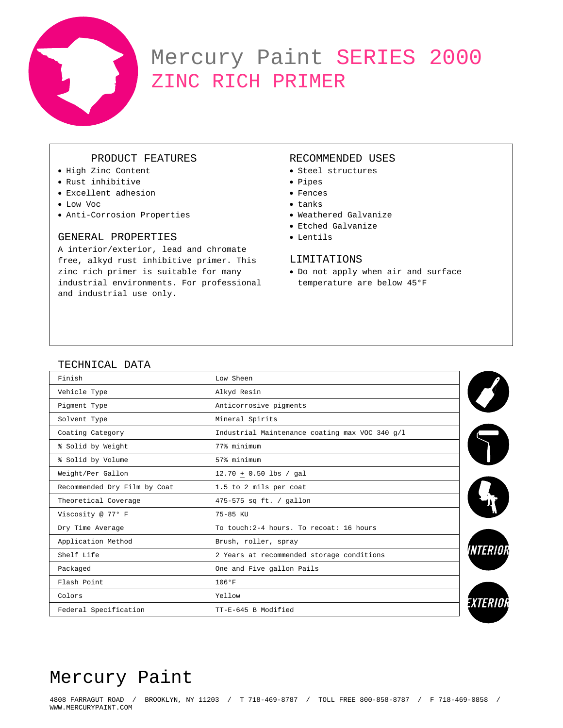

# Mercury Paint SERIES 2000 ZINC RICH PRIMER

## PRODUCT FEATURES

- High Zinc Content
- Rust inhibitive
- Excellent adhesion
- Low Voc
- Anti-Corrosion Properties

## GENERAL PROPERTIES

A interior/exterior, lead and chromate free, alkyd rust inhibitive primer. This zinc rich primer is suitable for many industrial environments. For professional and industrial use only.

## RECOMMENDED USES

- Steel structures
- Pipes
- Fences
- tanks
- Weathered Galvanize
- Etched Galvanize
- Lentils

## LIMITATIONS

• Do not apply when air and surface temperature are below 45°F

## TECHNICAL DATA

| Finish                       | Low Sheen                                      |  |  |
|------------------------------|------------------------------------------------|--|--|
| Vehicle Type                 | Alkyd Resin                                    |  |  |
| Pigment Type                 | Anticorrosive pigments                         |  |  |
| Solvent Type                 | Mineral Spirits                                |  |  |
| Coating Category             | Industrial Maintenance coating max VOC 340 g/l |  |  |
| % Solid by Weight            | 77% minimum                                    |  |  |
| % Solid by Volume            | 57% minimum                                    |  |  |
| Weight/Per Gallon            | $12.70 + 0.50$ lbs / gal                       |  |  |
| Recommended Dry Film by Coat | 1.5 to 2 mils per coat                         |  |  |
| Theoretical Coverage         | 475-575 sq ft. / gallon                        |  |  |
| Viscosity @ 77° F            | 75-85 KU                                       |  |  |
| Dry Time Average             | To touch: 2-4 hours. To recoat: 16 hours       |  |  |
| Application Method           | Brush, roller, spray                           |  |  |
| Shelf Life                   | 2 Years at recommended storage conditions      |  |  |
| Packaged                     | One and Five gallon Pails                      |  |  |
| Flash Point                  | 106°F                                          |  |  |
| Colors                       | Yellow                                         |  |  |
| Federal Specification        | TT-E-645 B Modified                            |  |  |

## Mercury Paint